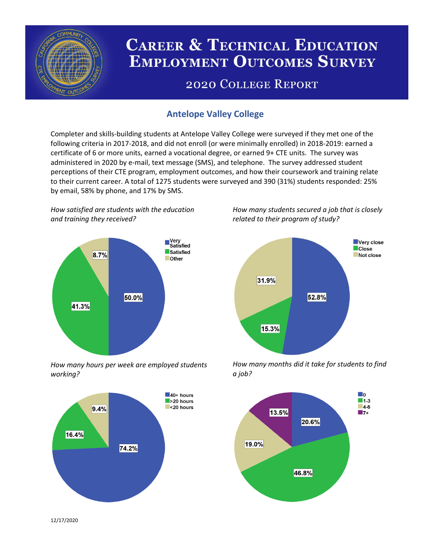

# **CAREER & TECHNICAL EDUCATION EMPLOYMENT OUTCOMES SURVEY**

## **2020 COLLEGE REPORT**

## **Antelope Valley College**

Completer and skills-building students at Antelope Valley College were surveyed if they met one of the following criteria in 2017-2018, and did not enroll (or were minimally enrolled) in 2018-2019: earned a certificate of 6 or more units, earned a vocational degree, or earned 9+ CTE units. The survey was administered in 2020 by e-mail, text message (SMS), and telephone. The survey addressed student perceptions of their CTE program, employment outcomes, and how their coursework and training relate to their current career. A total of 1275 students were surveyed and 390 (31%) students responded: 25% by email, 58% by phone, and 17% by SMS.

*How satisfied are students with the education and training they received?*



*How many hours per week are employed students working?*



*How many students secured a job that is closely related to their program of study?*



*How many months did it take for students to find a job?*



12/17/2020